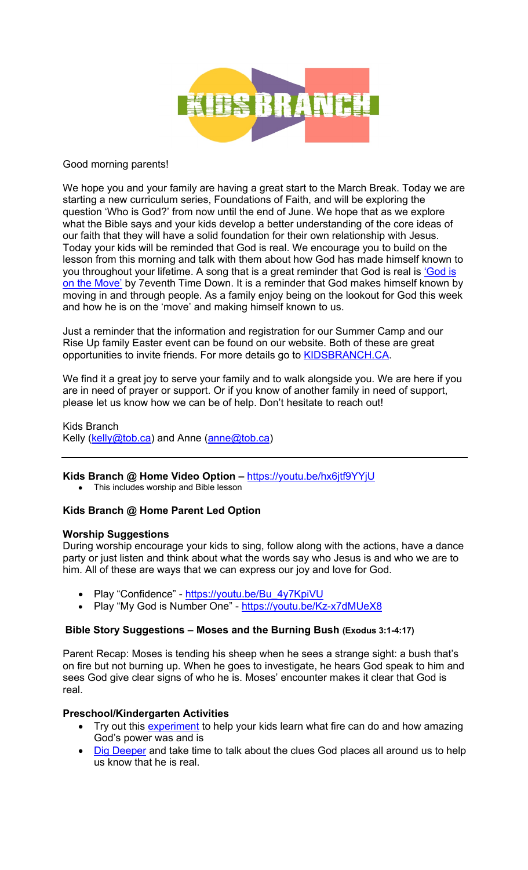

#### Good morning parents!

We hope you and your family are having a great start to the March Break. Today we are starting a new curriculum series, Foundations of Faith, and will be exploring the question 'Who is God?' from now until the end of June. We hope that as we explore what the Bible says and your kids develop a better understanding of the core ideas of our faith that they will have a solid foundation for their own relationship with Jesus. Today your kids will be reminded that God is real. We encourage you to build on the lesson from this morning and talk with them about how God has made himself known to you throughout your lifetime. A song that is a great reminder that God is real is 'God is on the Move' by 7eventh Time Down. It is a reminder that God makes himself known by moving in and through people. As a family enjoy being on the lookout for God this week and how he is on the 'move' and making himself known to us.

Just a reminder that the information and registration for our Summer Camp and our Rise Up family Easter event can be found on our website. Both of these are great opportunities to invite friends. For more details go to **KIDSBRANCH.CA.** 

We find it a great joy to serve your family and to walk alongside you. We are here if you are in need of prayer or support. Or if you know of another family in need of support, please let us know how we can be of help. Don't hesitate to reach out!

Kids Branch Kelly (kelly@tob.ca) and Anne (anne@tob.ca)

**Kids Branch @ Home Video Option –** https://youtu.be/hx6jtf9YYjU

• This includes worship and Bible lesson

# **Kids Branch @ Home Parent Led Option**

# **Worship Suggestions**

During worship encourage your kids to sing, follow along with the actions, have a dance party or just listen and think about what the words say who Jesus is and who we are to him. All of these are ways that we can express our joy and love for God.

- Play "Confidence" https://youtu.be/Bu\_4y7KpiVU
- Play "My God is Number One" https://youtu.be/Kz-x7dMUeX8

# **Bible Story Suggestions – Moses and the Burning Bush (Exodus 3:1-4:17)**

Parent Recap: Moses is tending his sheep when he sees a strange sight: a bush that's on fire but not burning up. When he goes to investigate, he hears God speak to him and sees God give clear signs of who he is. Moses' encounter makes it clear that God is real.

# **Preschool/Kindergarten Activities**

- Try out this experiment to help your kids learn what fire can do and how amazing God's power was and is
- Dig Deeper and take time to talk about the clues God places all around us to help us know that he is real.